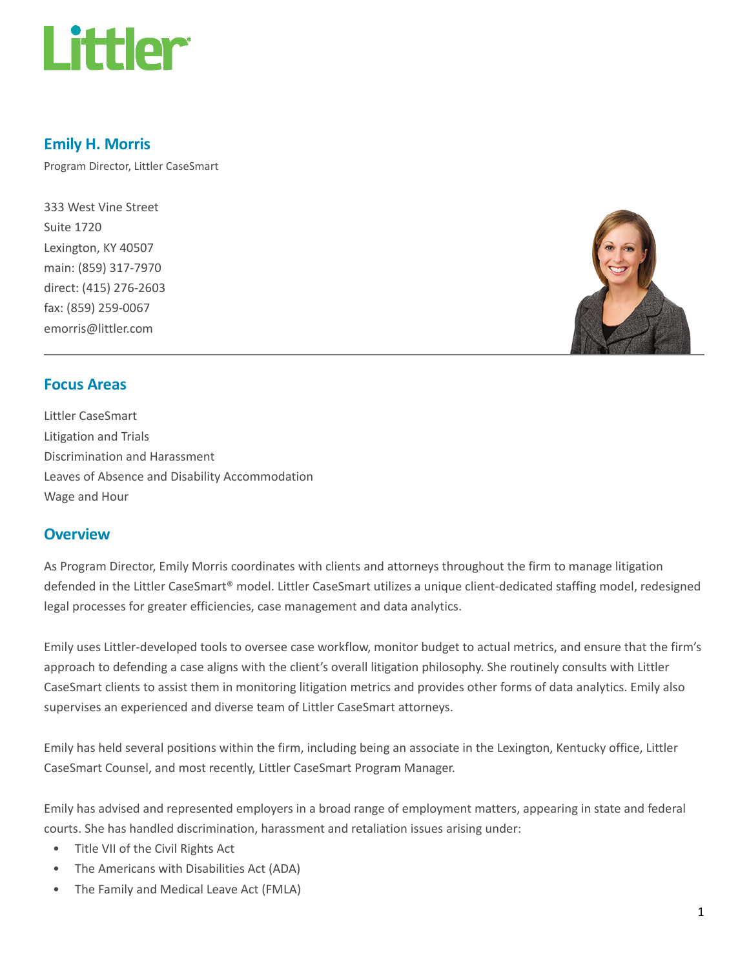

## Emily H. Morris

Program Director, Littler CaseSmart

333 West Vine Street Suite 1720 Lexington, KY 40507 main: (859) 317-7970 direct: (415) 276-2603 fax: (859) 259-0067 emorris@littler.com



# Focus Areas

Littler CaseSmart Litigation and Trials Discrimination and Harassment Leaves of Absence and Disability Accommodation Wage and Hour

## **Overview**

As Program Director, Emily Morris coordinates with clients and attorneys throughout the firm to manage litigation defended in the Littler CaseSmart® model. Littler CaseSmart utilizes a unique client-dedicated staffing model, redesigned legal processes for greater efficiencies, case management and data analytics.

Emily uses Littler-developed tools to oversee case workflow, monitor budget to actual metrics, and ensure that the firm's approach to defending a case aligns with the client's overall litigation philosophy. She routinely consults with Littler CaseSmart clients to assist them in monitoring litigation metrics and provides other forms of data analytics. Emily also supervises an experienced and diverse team of Littler CaseSmart attorneys.

Emily has held several positions within the firm, including being an associate in the Lexington, Kentucky office, Littler CaseSmart Counsel, and most recently, Littler CaseSmart Program Manager.

Emily has advised and represented employers in a broad range of employment matters, appearing in state and federal courts. She has handled discrimination, harassment and retaliation issues arising under:

- Title VII of the Civil Rights Act
- The Americans with Disabilities Act (ADA)
- The Family and Medical Leave Act (FMLA)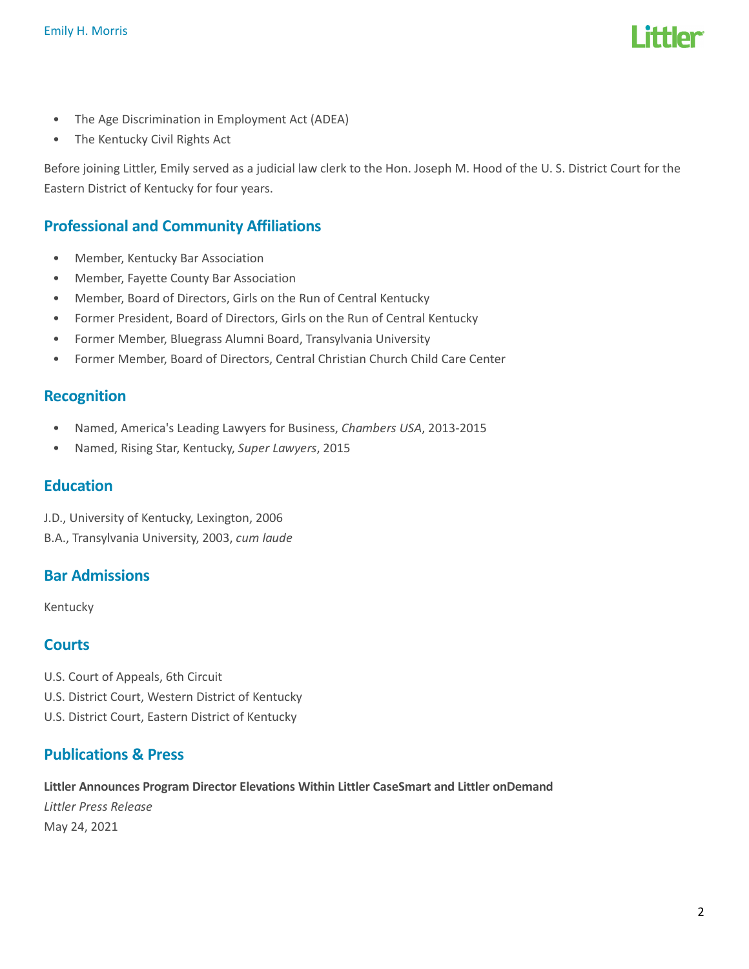

- The Age Discrimination in Employment Act (ADEA)
- The Kentucky Civil Rights Act

Before joining Littler, Emily served as a judicial law clerk to the Hon. Joseph M. Hood of the U. S. District Court for the Eastern District of Kentucky for four years.

# Professional and Community Affiliations

- Member, Kentucky Bar Association
- Member, Fayette County Bar Association
- Member, Board of Directors, Girls on the Run of Central Kentucky
- Former President, Board of Directors, Girls on the Run of Central Kentucky
- Former Member, Bluegrass Alumni Board, Transylvania University
- Former Member, Board of Directors, Central Christian Church Child Care Center

### Recognition

- Named, America's Leading Lawyers for Business, Chambers USA, 2013-2015
- Named, Rising Star, Kentucky, Super Lawyers, 2015

### Education

J.D., University of Kentucky, Lexington, 2006

B.A., Transylvania University, 2003, cum laude

## Bar Admissions

Kentucky

## **Courts**

- U.S. Court of Appeals, 6th Circuit
- U.S. District Court, Western District of Kentucky
- U.S. District Court, Eastern District of Kentucky

## Publications & Press

Littler Announces Program Director Elevations Within Littler CaseSmart and Littler onDemand Littler Press Release May 24, 2021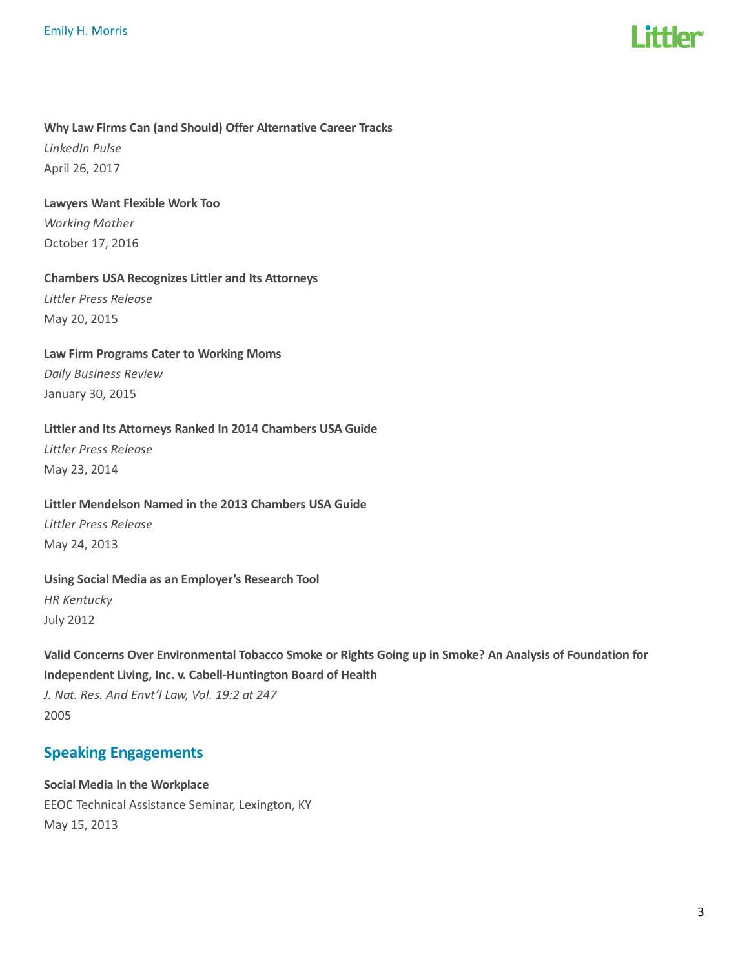

### Why Law Firms Can (and Should) Offer Alternative Career Tracks

LinkedIn Pulse April 26, 2017

#### Lawyers Want Flexible Work Too

Working Mother October 17, 2016

### Chambers USA Recognizes Littler and Its Attorneys

Littler Press Release May 20, 2015

### Law Firm Programs Cater to Working Moms

Daily Business Review January 30, 2015

### Littler and Its Attorneys Ranked In 2014 Chambers USA Guide

Littler Press Release May 23, 2014

## Littler Mendelson Named in the 2013 Chambers USA Guide

Littler Press Release May 24, 2013

# Using Social Media as an Employer's Research Tool HR Kentucky July 2012

Valid Concerns Over Environmental Tobacco Smoke or Rights Going up in Smoke? An Analysis of Foundation for Independent Living, Inc. v. Cabell-Huntington Board of Health J. Nat. Res. And Envt'l Law, Vol. 19:2 at 247 2005

# Speaking Engagements

Social Media in the Workplace EEOC Technical Assistance Seminar, Lexington, KY May 15, 2013